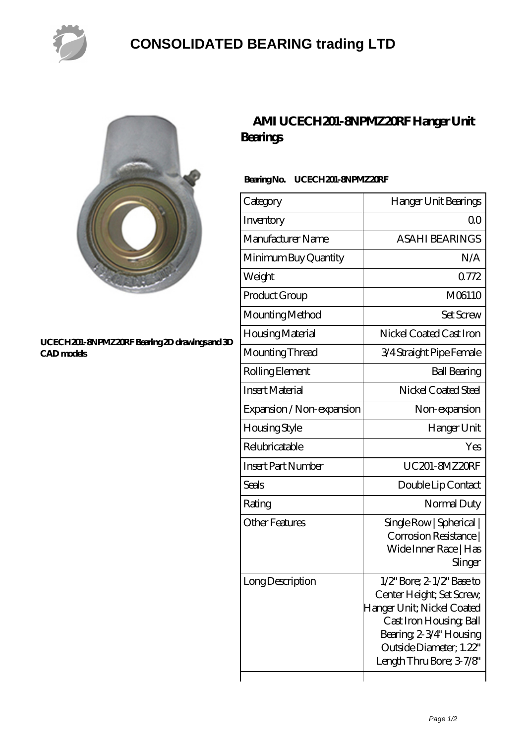

## **[CONSOLIDATED BEARING trading LTD](https://pastmidnightpublishing.com)**



#### **[UCECH201-8NPMZ20RF Bearing 2D drawings and 3D](https://pastmidnightpublishing.com/pic-160977.html) [CAD models](https://pastmidnightpublishing.com/pic-160977.html)**

### **[AMI UCECH201-8NPMZ20RF Hanger Unit](https://pastmidnightpublishing.com/at-160977-ami-ucech201-8npmz20rf-hanger-unit-bearings.html) [Bearings](https://pastmidnightpublishing.com/at-160977-ami-ucech201-8npmz20rf-hanger-unit-bearings.html)**

### **Bearing No. UCECH201-8NPMZ20RF**

| Category                  | Hanger Unit Bearings                                                                                                                                                                                       |
|---------------------------|------------------------------------------------------------------------------------------------------------------------------------------------------------------------------------------------------------|
| Inventory                 | QΟ                                                                                                                                                                                                         |
| Manufacturer Name         | <b>ASAHI BEARINGS</b>                                                                                                                                                                                      |
| Minimum Buy Quantity      | N/A                                                                                                                                                                                                        |
| Weight                    | 0772                                                                                                                                                                                                       |
| Product Group             | M06110                                                                                                                                                                                                     |
| Mounting Method           | <b>Set Screw</b>                                                                                                                                                                                           |
| Housing Material          | Nickel Coated Cast Iron                                                                                                                                                                                    |
| Mounting Thread           | 3/4 Straight Pipe Female                                                                                                                                                                                   |
| Rolling Element           | <b>Ball Bearing</b>                                                                                                                                                                                        |
| <b>Insert Material</b>    | Nickel Coated Steel                                                                                                                                                                                        |
| Expansion / Non-expansion | Non-expansion                                                                                                                                                                                              |
| <b>Housing Style</b>      | Hanger Unit                                                                                                                                                                                                |
| Relubricatable            | Yes                                                                                                                                                                                                        |
| <b>Insert Part Number</b> | UC201-8MZ20RF                                                                                                                                                                                              |
| Seals                     | Double Lip Contact                                                                                                                                                                                         |
| Rating                    | Normal Duty                                                                                                                                                                                                |
| <b>Other Features</b>     | Single Row   Spherical  <br>Corrosion Resistance  <br>Wide Inner Race   Has<br>Slinger                                                                                                                     |
| Long Description          | $1/2$ " Bore; $2$ - $1/2$ " Base to<br>Center Height; Set Screw,<br>Hanger Unit; Nickel Coated<br>Cast Iron Housing, Ball<br>Bearing 2-3/4" Housing<br>Outside Diameter; 1.22"<br>Length Thru Bore; 3-7/8" |